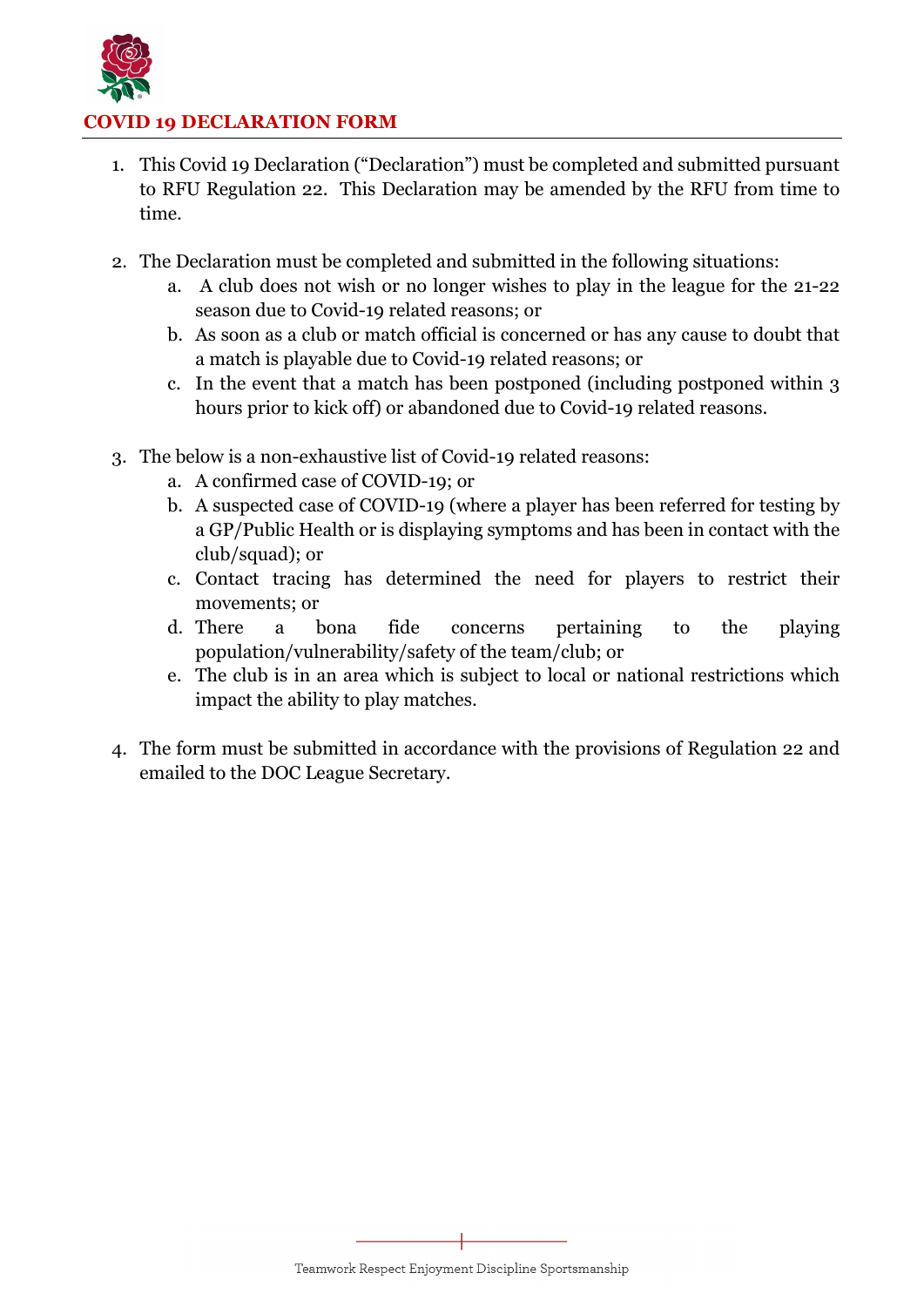

- 1. This Covid 19 Declaration ("Declaration") must be completed and submitted pursuant to RFU Regulation 22. This Declaration may be amended by the RFU from time to time.
- 2. The Declaration must be completed and submitted in the following situations:
	- a. A club does not wish or no longer wishes to play in the league for the 21-22 season due to Covid-19 related reasons; or
	- b. As soon as a club or match official is concerned or has any cause to doubt that a match is playable due to Covid-19 related reasons; or
	- c. In the event that a match has been postponed (including postponed within 3 hours prior to kick off) or abandoned due to Covid-19 related reasons.
- 3. The below is a non-exhaustive list of Covid-19 related reasons:
	- a. A confirmed case of COVID-19; or
	- b. A suspected case of COVID-19 (where a player has been referred for testing by a GP/Public Health or is displaying symptoms and has been in contact with the club/squad); or
	- c. Contact tracing has determined the need for players to restrict their movements; or
	- d. There a bona fide concerns pertaining to the playing population/vulnerability/safety of the team/club; or
	- e. The club is in an area which is subject to local or national restrictions which impact the ability to play matches.
- 4. The form must be submitted in accordance with the provisions of Regulation 22 and emailed to the DOC League Secretary.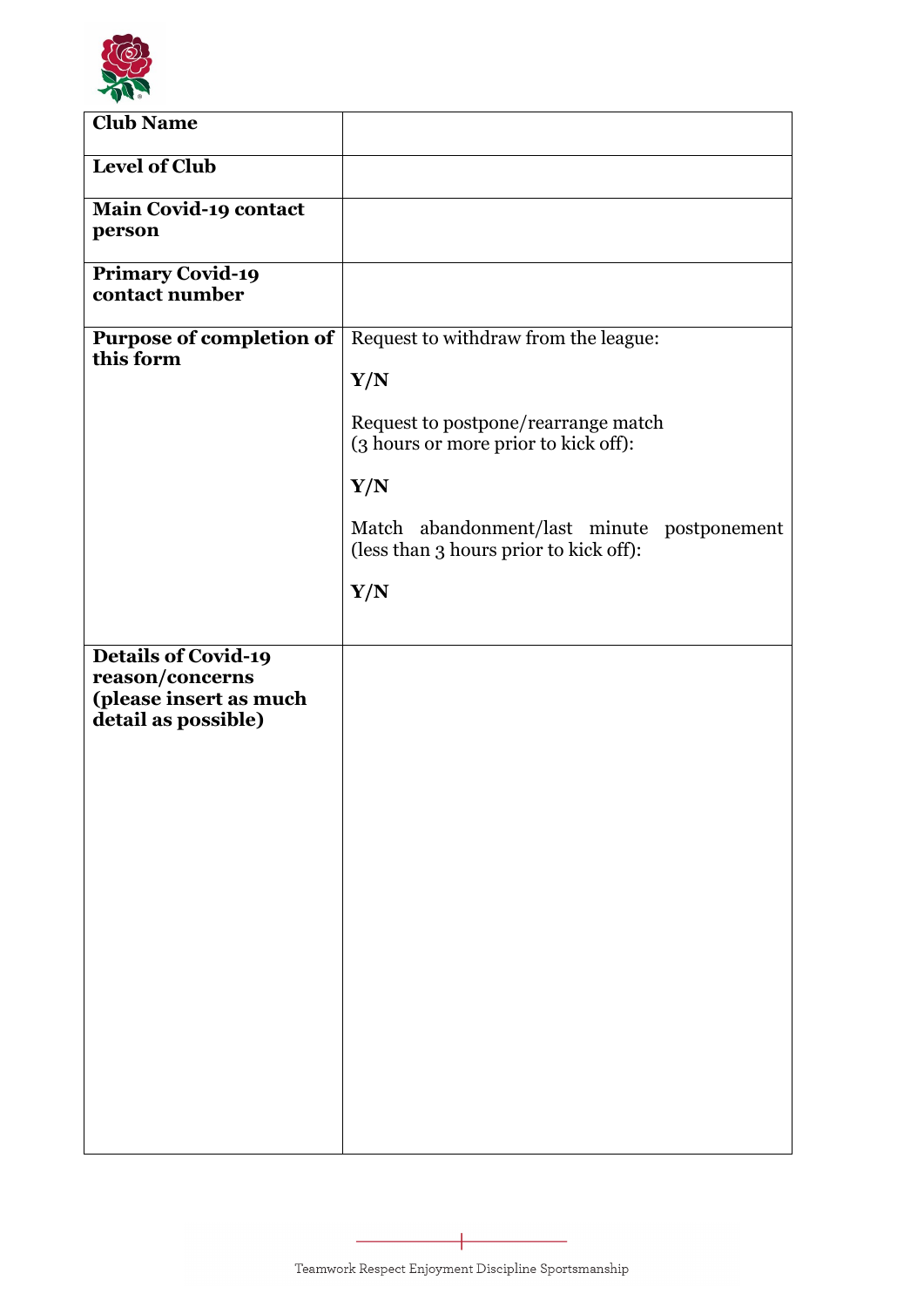

| <b>Club Name</b>                                                                               |                                                                                                                                                                                                                                  |
|------------------------------------------------------------------------------------------------|----------------------------------------------------------------------------------------------------------------------------------------------------------------------------------------------------------------------------------|
| <b>Level of Club</b>                                                                           |                                                                                                                                                                                                                                  |
| Main Covid-19 contact<br>person                                                                |                                                                                                                                                                                                                                  |
| <b>Primary Covid-19</b><br>contact number                                                      |                                                                                                                                                                                                                                  |
| Purpose of completion of<br>this form                                                          | Request to withdraw from the league:<br>Y/N<br>Request to postpone/rearrange match<br>(3 hours or more prior to kick off):<br>Y/N<br>Match abandonment/last minute postponement<br>(less than 3 hours prior to kick off):<br>Y/N |
| <b>Details of Covid-19</b><br>reason/concerns<br>(please insert as much<br>detail as possible) |                                                                                                                                                                                                                                  |